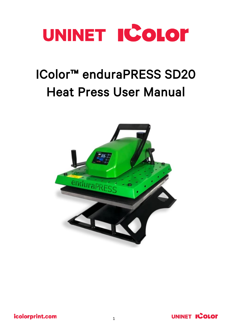

# IColor™ enduraPRESS SD20 Heat Press User Manual



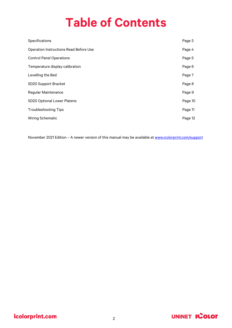## **Table of Contents**

| Specifications                                | Page 3  |
|-----------------------------------------------|---------|
| <b>Operation Instructions Read Before Use</b> | Page 4  |
| <b>Control Panel Operations</b>               | Page 5  |
| Temperature display calibration               | Page 6  |
| Levelling the Bed                             | Page 7  |
| SD20 Support Bracket                          | Page 8  |
| <b>Regular Maintenance</b>                    | Page 9  |
| SD20 Optional Lower Platens                   | Page 10 |
| <b>Troubleshooting Tips</b>                   | Page 11 |
| <b>Wiring Schematic</b>                       | Page 12 |

November 2021 Edition - A newer version of this manual may be available a[t www.icolorprint.com/support](http://www.icolorprint.com/support)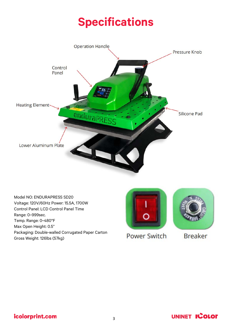### **Specifications**



Model NO: ENDURAPRESS SD20 Voltage: 120V/60Hz Power: 15.5A, 1700W Control Panel: LCD Control Panel Time Range: 0~999sec. Temp. Range: 0~480°F Max Open Height: 0.5" Packaging: Double-walled Corrugated Paper Carton Gross Weight: 126lbs (57kg)





**Power Switch** 

**Breaker** 

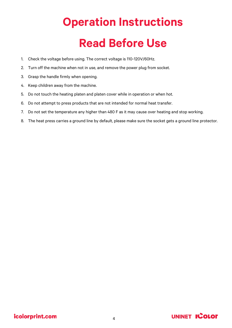# **Operation Instructions Read Before Use**

- 1. Check the voltage before using. The correct voltage is 110-120V/60Hz.
- 2. Turn off the machine when not in use, and remove the power plug from socket.
- 3. Grasp the handle firmly when opening.
- 4. Keep children away from the machine.
- 5. Do not touch the heating platen and platen cover while in operation or when hot.
- 6. Do not attempt to press products that are not intended for normal heat transfer.
- 7. Do not set the temperature any higher than 480 F as it may cause over heating and stop working.
- 8. The heat press carries a ground line by default, please make sure the socket gets a ground line protector.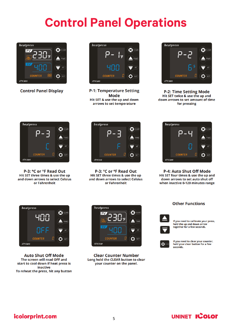## **Control Panel Operations**



**Control Panel Display** 



**P-1: Temperature Setting Mode** Hit SET & use the up and down arrows to set temperature



**P-2: Time Setting Mode** Hit SET twice & use the up and down arrows to set amount of time for pressing



P-3: °C or °F Read Out Hit SET three times & use the up and down arrows to select Celsius or Fahrenheit



P-3: °C or °F Read Out Hit SET three times & use the up and down arrows to select Celsius or Fahrenheit



P-4: Auto Shut Off Mode Hit SET four times & use the up and down arrows to set auto shut off when inactive 0-120 minutes range



**Auto Shut Off Mode** The screen will read OFF and start to cool down if heat press is inactive To reheat the press, hit any button



**Clear Counter Number** Long hold the CLEAR button to clear your counter on the panel.

#### **Other Functions**



If you need to calibrate your press, hold the up and down arrow<br>together for a few seconds.



If you need to clear your counter,<br>hold your clear button for a few seconds.

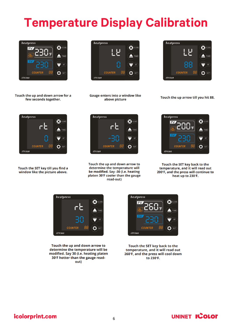# **Temperature Display Calibration**







Touch the SET key till you find a window like the picture above.



**Gauge enters into a window like** above picture



Touch the up arrow till you hit 88.



Touch the up and down arrow to determine the temperature will be modified. Say -30 (i.e. heating platen 30°F cooler than the gauge read-out)



Touch the SET key back to the temperature, and it will read out 200°F, and the press will continue to heat up to 230°F.



Touch the up and down arrow to determine the temperature will be modified. Say 30 (i.e. heating platen 30°F hotter than the gauge readout)



Touch the SET key back to the temperature, and it will read out 260°F, and the press will cool down to 230°F.

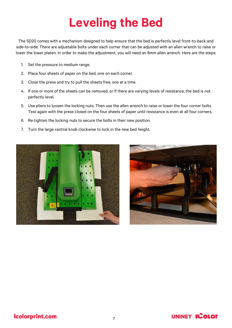## **Leveling the Bed**

The SD20 comes with a mechanism designed to help ensure that the bed is perfectly level front-to-back and side-to-side. There are adjustable bolts under each corner that can be adjusted with an allen wrench to raise or lower the lower platen. In order to make the adjustment, you will need an 8mm allen wrench. Here are the steps:

- 1. Set the pressure to medium range.
- 2. Place four sheets of paper on the bed, one on each corner.
- 3. Close the press and try to pull the sheets free, one at a time.
- 4. If one or more of the sheets can be removed, or if there are varying levels of resistance, the bed is not perfectly level.
- 5. Use pliers to loosen the locking nuts. Then use the allen wrench to raise or lower the four corner bolts. Test again with the press closed on the four sheets of paper until resistance is even at all four corners.
- 6. Re-tighten the locking nuts to secure the bolts in their new position.
- 7. Turn the large central knob clockwise to lock in the new bed height.





#### icolorprint.com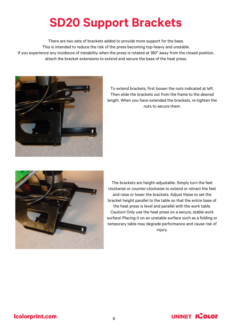## **SD20 Support Brackets**

There are two sets of brackets added to provide more support for the base. This is intended to reduce the risk of the press becoming top-heavy and unstable. If you experience any incidence of instability when the press is rotated at 180° away from the closed position, attach the bracket extensions to extend and secure the base of the heat press.



To extend brackets, first loosen the nuts indicated at left. Then slide the brackets out from the frame to the desired length. When you have extended the brackets, re-tighten the nuts to secure them.



The brackets are height-adjustable. Simply turn the feet clockwise or counter-clockwise to extend or retract the feet and raise or lower the brackets. Adjust these to set the bracket height parallel to the table so that the entire base of the heat press is level and parallel with the work table. Caution! Only use the heat press on a secure, stable work surface! Placing it on an unstable surface such as a folding or temporary table may degrade performance and cause risk of injury.

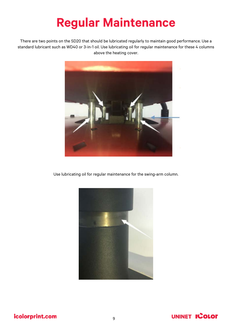## **Regular Maintenance**

There are two points on the SD20 that should be lubricated regularly to maintain good performance. Use a standard lubricant such as WD40 or 3-in-1 oil. Use lubricating oil for regular maintenance for these 4 columns above the heating cover.



Use lubricating oil for regular maintenance for the swing-arm column.



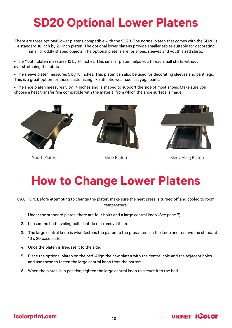## **SD20 Optional Lower Platens**

There are three optional lower platens compatible with the SD20. The normal platen that comes with the SD20 is a standard 16 inch by 20 inch platen. The optional lower platens provide smaller tables suitable for decorating small or oddly shaped objects. The optional platens are for shoes, sleeves and youth sized shirts.

• The Youth platen measures 12 by 14 inches. This smaller platen helps you thread small shirts without overstretching the fabric.

• The sleeve platen measures 5 by 18 inches. This platen can also be used for decorating sleeves and pant legs. This is a great option for those customizing like athletic wear such as yoga pants.

• The shoe platen measures 5 by 14 inches and is shaped to support the side of most shoes. Make sure you choose a heat transfer film compatible with the material from which the shoe surface is made.



**Youth Platen** 



**Shoe Platen** 

![](_page_9_Picture_9.jpeg)

Sleeve/Leg Platen

## **How to Change Lower Platens**

CAUTION: Before attempting to change the platen, make sure the heat press is turned off and cooled to room temperature.

- 1. Under the standard platen, there are four bolts and a large central knob (See page 7).
- 2. Loosen the bed-leveling bolts, but do not remove them.
- 3. The large central knob is what fastens the platen to the press. Loosen the knob and remove the standard 16 x 20 base platen.
- 4. Once the platen is free, set it to the side.
- 5. Place the optional platen on the bed. Align the new platen with the central hole and the adjacent holes and use these to fasten the large central knob from the bottom.
- 6. When the platen is in position, tighten the large central knob to secure it to the bed.

#### icolorprint.com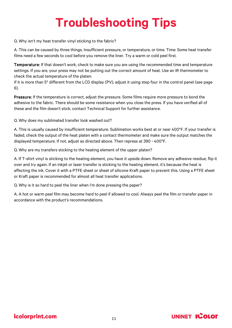# **Troubleshooting Tips**

Q. Why isn't my heat transfer vinyl sticking to the fabric?

A. This can be caused by three things. Insufficient pressure, or temperature, or time. Time: Some heat transfer films need a few seconds to cool before you remove the liner. Try a warm or cold peel first.

Temperature: If that doesn't work, check to make sure you are using the recommended time and temperature settings. If you are, your press may not be putting out the correct amount of heat. Use an IR thermometer to check the actual temperature of the platen.

If it is more than 5° different from the LCD display (PV), adjust it using step four in the control panel (see page 6).

Pressure: If the temperature is correct, adjust the pressure. Some films require more pressure to bond the adhesive to the fabric. There should be some resistance when you close the press. If you have verified all of these and the film doesn't stick, contact Technical Support for further assistance.

Q. Why does my sublimated transfer look washed out?

A. This is usually caused by insufficient temperature. Sublimation works best at or near 400°F. If your transfer is faded, check the output of the heat platen with a contact thermometer and make sure the output matches the displayed temperature. If not, adjust as directed above. Then repress at 390 - 400°F.

Q. Why are my transfers sticking to the heating element of the upper platen?

A. If T-shirt vinyl is sticking to the heating element, you have it upside down. Remove any adhesive residue, flip it over and try again. If an inkjet or laser transfer is sticking to the heating element, it's because the heat is affecting the ink. Cover it with a PTFE sheet or sheet of silicone Kraft paper to prevent this. Using a PTFE sheet or Kraft paper is recommended for almost all heat transfer applications.

Q. Why is it so hard to peel the liner when I'm done pressing the paper?

A. A hot or warm peel film may become hard to peel if allowed to cool. Always peel the film or transfer paper in accordance with the product's recommendations.

![](_page_10_Picture_13.jpeg)